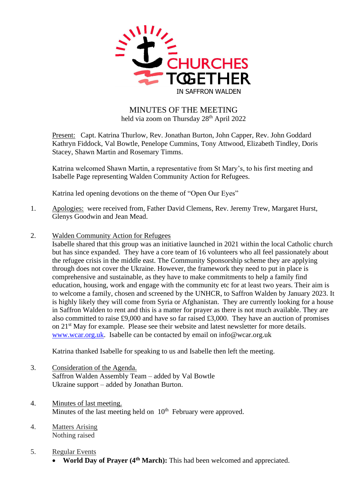

## MINUTES OF THE MEETING held via zoom on Thursday 28<sup>th</sup> April 2022

Present: Capt. Katrina Thurlow, Rev. Jonathan Burton, John Capper, Rev. John Goddard Kathryn Fiddock, Val Bowtle, Penelope Cummins, Tony Attwood, Elizabeth Tindley, Doris Stacey, Shawn Martin and Rosemary Timms.

Katrina welcomed Shawn Martin, a representative from St Mary's, to his first meeting and Isabelle Page representing Walden Community Action for Refugees.

Katrina led opening devotions on the theme of "Open Our Eyes"

- 1. Apologies: were received from, Father David Clemens, Rev. Jeremy Trew, Margaret Hurst, Glenys Goodwin and Jean Mead.
- 2. Walden Community Action for Refugees

Isabelle shared that this group was an initiative launched in 2021 within the local Catholic church but has since expanded. They have a core team of 16 volunteers who all feel passionately about the refugee crisis in the middle east. The Community Sponsorship scheme they are applying through does not cover the Ukraine. However, the framework they need to put in place is comprehensive and sustainable, as they have to make commitments to help a family find education, housing, work and engage with the community etc for at least two years. Their aim is to welcome a family, chosen and screened by the UNHCR, to Saffron Walden by January 2023. It is highly likely they will come from Syria or Afghanistan. They are currently looking for a house in Saffron Walden to rent and this is a matter for prayer as there is not much available. They are also committed to raise £9,000 and have so far raised £3,000. They have an auction of promises on 21st May for example. Please see their website and latest newsletter for more details. [www.wcar.org.uk.](about:blank) Isabelle can be contacted by email on info@wcar.org.uk

Katrina thanked Isabelle for speaking to us and Isabelle then left the meeting.

- 3. Consideration of the Agenda. Saffron Walden Assembly Team – added by Val Bowtle Ukraine support – added by Jonathan Burton.
- 4. Minutes of last meeting. Minutes of the last meeting held on  $10<sup>th</sup>$  February were approved.
- 4. Matters Arising Nothing raised
- 5. Regular Events
	- **World Day of Prayer (4th March):** This had been welcomed and appreciated.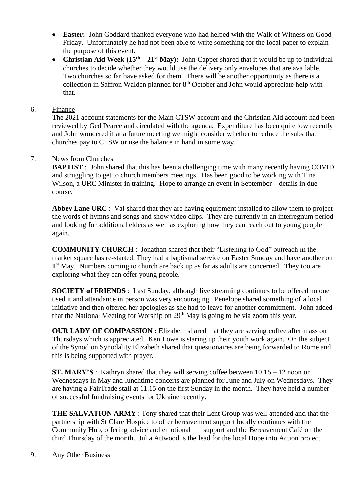- **Easter:** John Goddard thanked everyone who had helped with the Walk of Witness on Good Friday. Unfortunately he had not been able to write something for the local paper to explain the purpose of this event.
- **Christian Aid Week (15<sup>th</sup> 21<sup>st</sup> May):** John Capper shared that it would be up to individual churches to decide whether they would use the delivery only envelopes that are available. Two churches so far have asked for them. There will be another opportunity as there is a collection in Saffron Walden planned for  $8<sup>th</sup>$  October and John would appreciate help with that.

## 6. Finance

The 2021 account statements for the Main CTSW account and the Christian Aid account had been reviewed by Ged Pearce and circulated with the agenda. Expenditure has been quite low recently and John wondered if at a future meeting we might consider whether to reduce the subs that churches pay to CTSW or use the balance in hand in some way.

## 7. News from Churches

**BAPTIST** : John shared that this has been a challenging time with many recently having COVID and struggling to get to church members meetings. Has been good to be working with Tina Wilson, a URC Minister in training. Hope to arrange an event in September – details in due course.

**Abbey Lane URC** : Val shared that they are having equipment installed to allow them to project the words of hymns and songs and show video clips. They are currently in an interregnum period and looking for additional elders as well as exploring how they can reach out to young people again.

**COMMUNITY CHURCH** : Jonathan shared that their "Listening to God" outreach in the market square has re-started. They had a baptismal service on Easter Sunday and have another on 1<sup>st</sup> May. Numbers coming to church are back up as far as adults are concerned. They too are exploring what they can offer young people.

**SOCIETY of FRIENDS** : Last Sunday, although live streaming continues to be offered no one used it and attendance in person was very encouraging. Penelope shared something of a local initiative and then offered her apologies as she had to leave for another commitment. John added that the National Meeting for Worship on 29<sup>th</sup> May is going to be via zoom this year.

**OUR LADY OF COMPASSION :** Elizabeth shared that they are serving coffee after mass on Thursdays which is appreciated. Ken Lowe is staring up their youth work again. On the subject of the Synod on Synodality Elizabeth shared that questionaires are being forwarded to Rome and this is being supported with prayer.

**ST. MARY'S** : Kathryn shared that they will serving coffee between 10.15 – 12 noon on Wednesdays in May and lunchtime concerts are planned for June and July on Wednesdays. They are having a FairTrade stall at 11.15 on the first Sunday in the month. They have held a number of successful fundraising events for Ukraine recently.

**THE SALVATION ARMY** : Tony shared that their Lent Group was well attended and that the partnership with St Clare Hospice to offer bereavement support locally continues with the Community Hub, offering advice and emotional support and the Bereavement Café on the third Thursday of the month. Julia Attwood is the lead for the local Hope into Action project.

9. Any Other Business